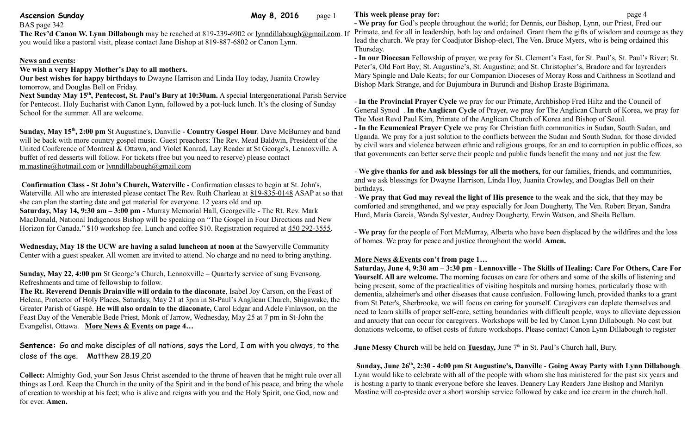BAS page 342

**Ascension Sunday Community Community Community Community Community Community Community Community Community Community Community Community Community Community Community Community Community Community Community Community Comm** 

**The Rev'd Canon W. Lynn Dillabough** may be reached at 819-239-6902 or [lynndillabough@gmail.com.](mailto:lynndillabough@gmail.com) If you would like a pastoral visit, please contact Jane Bishop at 819-887-6802 or Canon Lynn.

### **News and events:**

## **We wish a very Happy Mother's Day to all mothers.**

**Our best wishes for happy birthdays to** Dwayne Harrison and Linda Hoy today, Juanita Crowley tomorrow, and Douglas Bell on Friday.

**Next Sunday May 15th, Pentecost, St. Paul's Bury at 10:30am.** A special Intergenerational Parish Service for Pentecost. Holy Eucharist with Canon Lynn, followed by a pot-luck lunch. It's the closing of Sunday School for the summer. All are welcome.

**Sunday, May 15th, 2:00 pm** St Augustine's, Danville - **Country Gospel Hour**. Dave McBurney and band will be back with more country gospel music. Guest preachers: The Rev. Mead Baldwin, President of the United Conference of Montreal & Ottawa, and Violet Konrad, Lay Reader at St George's, Lennoxville. A buffet of red desserts will follow. For tickets (free but you need to reserve) please contact [m.mastine@hotmail.com](https://webmail.ubishops.ca/owa/redir.aspx?REF=GHr2Ns8uyutj425Pf0YNOIfexmx1TNvfzvpWtjxrKhWjm5WgJnTTCAFtYWlsdG86bS5tYXN0aW5lQGhvdG1haWwuY29t) or [lynndillabough@gmail.com](https://webmail.ubishops.ca/owa/redir.aspx?REF=NTGHZBda4kbPNeYfbGRb6HgoD69E4VoJaguVXMRTEm2jm5WgJnTTCAFtYWlsdG86bHlubmRpbGxhYm91Z2hAZ21haWwuY29t)

**Confirmation Class - St John's Church, Waterville** - Confirmation classes to begin at St. John's, Waterville. All who are interested please contact The Rev. Ruth Charleau at [819-835-0148](tel:819-835-0148) ASAP at so that she can plan the starting date and get material for everyone. 12 years old and up. **Saturday, May 14, 9:30 am – 3:00 pm** - Murray Memorial Hall, Georgeville - The Rt. Rev. Mark MacDonald, National Indigenous Bishop will be speaking on "The Gospel in Four Directions and New Horizon for Canada." \$10 workshop fee. Lunch and coffee \$10. Registration required at [450 292-3555.](tel:450%20292-3555)

**Wednesday, May 18 the UCW are having a salad luncheon at noon** at the Sawyerville Community Center with a guest speaker. All women are invited to attend. No charge and no need to bring anything.

**Sunday, May 22, 4:00 pm** St George's Church, Lennoxville – Quarterly service of sung Evensong. Refreshments and time of fellowship to follow.

**The Rt. Reverend Dennis Drainville will ordain to the diaconate**, Isabel Joy Carson, on the Feast of Helena, Protector of Holy Places, Saturday, May 21 at 3pm in St-Paul's Anglican Church, Shigawake, the Greater Parish of Gaspé. **He will also ordain to the diaconate,** Carol Edgar and Adèle Finlayson, on the Feast Day of the Venerable Bede Priest, Monk of Jarrow, Wednesday, May 25 at 7 pm in St-John the Evangelist, Ottawa. **More News & Events on page 4…**

**Sentence:** Go and make disciples of all nations, says the Lord, I am with you always, to the close of the age. Matthew 28.19,20

**Collect:** Almighty God, your Son Jesus Christ ascended to the throne of heaven that he might rule over all things as Lord. Keep the Church in the unity of the Spirit and in the bond of his peace, and bring the whole of creation to worship at his feet; who is alive and reigns with you and the Holy Spirit, one God, now and for ever. **Amen.**

## **This week please pray for: page 4**

**- We pray for** God's people throughout the world; for Dennis, our Bishop, Lynn, our Priest, Fred our Primate, and for all in leadership, both lay and ordained. Grant them the gifts of wisdom and courage as they lead the church. We pray for Coadjutor Bishop-elect, The Ven. Bruce Myers, who is being ordained this Thursday.

- **In our Diocesan** Fellowship of prayer, we pray for St. Clement's East, for St. Paul's, St. Paul's River; St. Peter's, Old Fort Bay; St. Augustine's, St. Augustine; and St. Christopher's, Bradore and for layreaders Mary Spingle and Dale Keats; for our Companion Dioceses of Moray Ross and Caithness in Scotland and Bishop Mark Strange, and for Bujumbura in Burundi and Bishop Eraste Bigirimana.

- **In the Provincial Prayer Cycle** we pray for our Primate, Archbishop Fred Hiltz and the Council of General Synod . **In the Anglican Cycle** of Prayer, we pray for The Anglican Church of Korea, we pray for The Most Revd Paul Kim, Primate of the Anglican Church of Korea and Bishop of Seoul.

- **In the Ecumenical Prayer Cycle** we pray for Christian faith communities in Sudan, South Sudan, and Uganda. We pray for a just solution to the conflicts between the Sudan and South Sudan, for those divided by civil wars and violence between ethnic and religious groups, for an end to corruption in public offices, so that governments can better serve their people and public funds benefit the many and not just the few.

- **We give thanks for and ask blessings for all the mothers,** for our families, friends, and communities, and we ask blessings for Dwayne Harrison, Linda Hoy, Juanita Crowley, and Douglas Bell on their birthdays.

- **We pray that God may reveal the light of His presence** to the weak and the sick, that they may be comforted and strengthened, and we pray especially for Joan Dougherty, The Ven. Robert Bryan, Sandra Hurd, Maria Garcia, Wanda Sylvester, Audrey Dougherty, Erwin Watson, and Sheila Bellam.

- **We pray** for the people of Fort McMurray, Alberta who have been displaced by the wildfires and the loss of homes. We pray for peace and justice throughout the world. **Amen.**

#### **More News &Events con't from page 1…**

**Saturday, June 4, 9:30 am – 3:30 pm** - **Lennoxville - The Skills of Healing: Care For Others, Care For Yourself. All are welcome.** The morning focuses on care for others and some of the skills of listening and being present, some of the practicalities of visiting hospitals and nursing homes, particularly those with dementia, alzheimer's and other diseases that cause confusion. Following lunch, provided thanks to a grant from St Peter's, Sherbrooke, we will focus on caring for yourself. Caregivers can deplete themselves and need to learn skills of proper self-care, setting boundaries with difficult people, ways to alleviate depression and anxiety that can occur for caregivers. Workshops will be led by Canon Lynn Dillabough. No cost but donations welcome, to offset costs of future workshops. Please contact Canon Lynn Dillabough to register

**June Messy Church** will be held on **Tuesday**, June 7<sup>th</sup> in St. Paul's Church hall, Bury.

**Sunday, June 26th, 2:30 - 4:00 pm St Augustine's, Danville** - **Going Away Party with Lynn Dillabough**. Lynn would like to celebrate with all of the people with whom she has ministered for the past six years and is hosting a party to thank everyone before she leaves. Deanery Lay Readers Jane Bishop and Marilyn Mastine will co-preside over a short worship service followed by cake and ice cream in the church hall.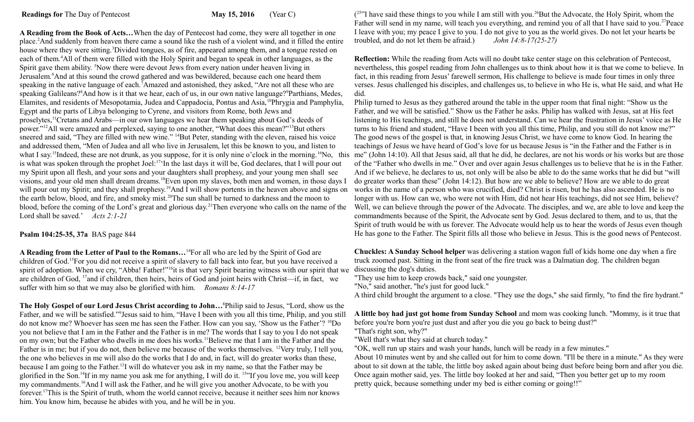**A Reading from the Book of Acts…**When the day of Pentecost had come, they were all together in one place.<sup>2</sup>And suddenly from heaven there came a sound like the rush of a violent wind, and it filled the entire house where they were sitting.<sup>3</sup>Divided tongues, as of fire, appeared among them, and a tongue rested on each of them.<sup>4</sup>All of them were filled with the Holy Spirit and began to speak in other languages, as the Spirit gave them ability. <sup>5</sup>Now there were devout Jews from every nation under heaven living in Jerusalem.<sup>6</sup>And at this sound the crowd gathered and was bewildered, because each one heard them speaking in the native language of each.<sup>7</sup>Amazed and astonished, they asked, "Are not all these who are speaking Galileans?<sup>8</sup>And how is it that we hear, each of us, in our own native language?<sup>9</sup>Parthians, Medes, Elamites, and residents of Mesopotamia, Judea and Cappadocia, Pontus and Asia,<sup>10</sup>Phrygia and Pamphylia, Egypt and the parts of Libya belonging to Cyrene, and visitors from Rome, both Jews and proselytes,<sup>11</sup>Cretans and Arabs—in our own languages we hear them speaking about God's deeds of power."<sup>12</sup>All were amazed and perplexed, saying to one another, "What does this mean?"<sup>13</sup>But others sneered and said, "They are filled with new wine." <sup>14</sup>But Peter, standing with the eleven, raised his voice and addressed them, "Men of Judea and all who live in Jerusalem, let this be known to you, and listen to is what was spoken through the prophet Joel:<sup>17</sup>'In the last days it will be, God declares, that I will pour out my Spirit upon all flesh, and your sons and your daughters shall prophesy, and your young men shall see visions, and your old men shall dream dreams.<sup>18</sup>Even upon my slaves, both men and women, in those days I will pour out my Spirit; and they shall prophesy.<sup>19</sup>And I will show portents in the heaven above and signs on the earth below, blood, and fire, and smoky mist.<sup>20</sup>The sun shall be turned to darkness and the moon to blood, before the coming of the Lord's great and glorious day.<sup>21</sup>Then everyone who calls on the name of the Lord shall be saved.' *Acts 2:1-21* 

# **Psalm 104:25-35, 37a** BAS page 844

**A Reading from the Letter of Paul to the Romans…**<sup>14</sup>For all who are led by the Spirit of God are children of God.<sup>15</sup>For you did not receive a spirit of slavery to fall back into fear, but you have received a spirit of adoption. When we cry, "Abba! Father!"<sup>16</sup>it is that very Spirit bearing witness with our spirit that we are children of God, <sup>17</sup>and if children, then heirs, heirs of God and joint heirs with Christ—if, in fact, we suffer with him so that we may also be glorified with him. *Romans 8:14-17*

**The Holy Gospel of our Lord Jesus Christ according to John…**<sup>8</sup>Philip said to Jesus, "Lord, show us the Father, and we will be satisfied."<sup>9</sup> Jesus said to him, "Have I been with you all this time, Philip, and you still do not know me? Whoever has seen me has seen the Father. How can you say, 'Show us the Father'? <sup>10</sup>Do you not believe that I am in the Father and the Father is in me? The words that I say to you I do not speak on my own; but the Father who dwells in me does his works.<sup>11</sup>Believe me that I am in the Father and the Father is in me; but if you do not, then believe me because of the works themselves. <sup>12</sup>Very truly, I tell you, the one who believes in me will also do the works that I do and, in fact, will do greater works than these, because I am going to the Father.<sup>13</sup>I will do whatever you ask in my name, so that the Father may be glorified in the Son.<sup>14</sup>If in my name you ask me for anything, I will do it. <sup>15</sup>"If you love me, you will keep my commandments.<sup>16</sup>And I will ask the Father, and he will give you another Advocate, to be with you forever.<sup>17</sup>This is the Spirit of truth, whom the world cannot receive, because it neither sees him nor knows him. You know him, because he abides with you, and he will be in you.

 $(25)$ <sup>25</sup> I have said these things to you while I am still with you.<sup>26</sup>But the Advocate, the Holy Spirit, whom the Father will send in my name, will teach you everything, and remind you of all that I have said to you.<sup>27</sup>Peace I leave with you; my peace I give to you. I do not give to you as the world gives. Do not let your hearts be troubled, and do not let them be afraid.) *John 14:8-17(25-27)*

**Reflection:** While the reading from Acts will no doubt take center stage on this celebration of Pentecost, nevertheless, this gospel reading from John challenges us to think about how it is that we come to believe. In fact, in this reading from Jesus' farewell sermon, His challenge to believe is made four times in only three verses. Jesus challenged his disciples, and challenges us, to believe in who He is, what He said, and what He did.

what I say.<sup>15</sup>Indeed, these are not drunk, as you suppose, for it is only nine o'clock in the morning.<sup>16</sup>No, this me" (John 14:10). All that Jesus said, all that he did, he declares, are not his words or his works but ar Philip turned to Jesus as they gathered around the table in the upper room that final night: "Show us the Father, and we will be satisfied." Show us the Father he asks. Philip has walked with Jesus, sat at His feet listening to His teachings, and still he does not understand. Can we hear the frustration in Jesus' voice as He turns to his friend and student, "Have I been with you all this time, Philip, and you still do not know me?" The good news of the gospel is that, in knowing Jesus Christ, we have come to know God. In hearing the teachings of Jesus we have heard of God's love for us because Jesus is "in the Father and the Father is in of the "Father who dwells in me." Over and over again Jesus challenges us to believe that he is in the Father. And if we believe, he declares to us, not only will be also be able to do the same works that he did but "will do greater works than these" (John 14:12). But how are we able to believe? How are we able to do great works in the name of a person who was crucified, died? Christ is risen, but he has also ascended. He is no longer with us. How can we, who were not with Him, did not hear His teachings, did not see Him, believe? Well, we can believe through the power of the Advocate. The disciples, and we, are able to love and keep the commandments because of the Spirit, the Advocate sent by God. Jesus declared to them, and to us, that the Spirit of truth would be with us forever. The Advocate would help us to hear the words of Jesus even though He has gone to the Father. The Spirit fills all those who believe in Jesus. This is the good news of Pentecost.

> **Chuckles: A Sunday School helper** was delivering a station wagon full of kids home one day when a fire truck zoomed past. Sitting in the front seat of the fire truck was a Dalmatian dog. The children began discussing the dog's duties.

"They use him to keep crowds back," said one youngster.

"No," said another, "he's just for good luck."

A third child brought the argument to a close. "They use the dogs," she said firmly, "to find the fire hydrant."

**A little boy had just got home from Sunday School** and mom was cooking lunch. "Mommy, is it true that before you're born you're just dust and after you die you go back to being dust?"

"That's right son, why?"

"Well that's what they said at church today."

"OK, well run up stairs and wash your hands, lunch will be ready in a few minutes."

About 10 minutes went by and she called out for him to come down. "I'll be there in a minute." As they were about to sit down at the table, the little boy asked again about being dust before being born and after you die. Once again mother said, yes. The little boy looked at her and said, "Then you better get up to my room pretty quick, because something under my bed is either coming or going!!"